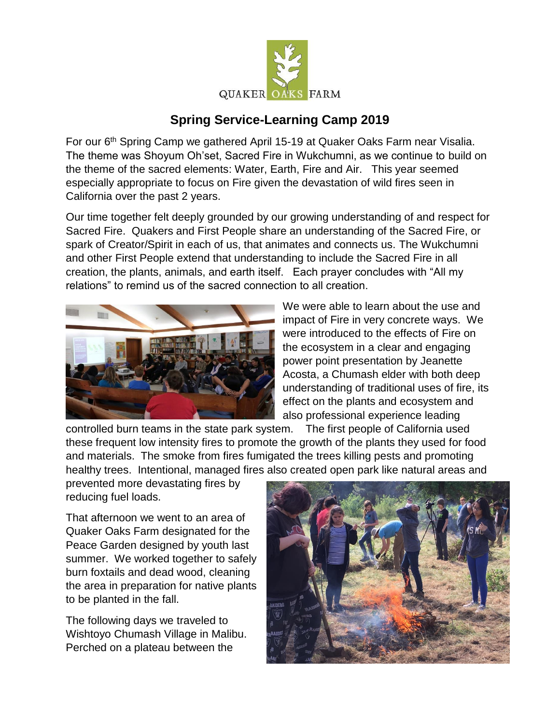

## **Spring Service-Learning Camp 2019**

For our 6<sup>th</sup> Spring Camp we gathered April 15-19 at Quaker Oaks Farm near Visalia. The theme was Shoyum Oh'set, Sacred Fire in Wukchumni, as we continue to build on the theme of the sacred elements: Water, Earth, Fire and Air. This year seemed especially appropriate to focus on Fire given the devastation of wild fires seen in California over the past 2 years.

Our time together felt deeply grounded by our growing understanding of and respect for Sacred Fire. Quakers and First People share an understanding of the Sacred Fire, or spark of Creator/Spirit in each of us, that animates and connects us. The Wukchumni and other First People extend that understanding to include the Sacred Fire in all creation, the plants, animals, and earth itself. Each prayer concludes with "All my relations" to remind us of the sacred connection to all creation.



We were able to learn about the use and impact of Fire in very concrete ways. We were introduced to the effects of Fire on the ecosystem in a clear and engaging power point presentation by Jeanette Acosta, a Chumash elder with both deep understanding of traditional uses of fire, its effect on the plants and ecosystem and also professional experience leading

controlled burn teams in the state park system. The first people of California used these frequent low intensity fires to promote the growth of the plants they used for food and materials. The smoke from fires fumigated the trees killing pests and promoting healthy trees. Intentional, managed fires also created open park like natural areas and

prevented more devastating fires by reducing fuel loads.

That afternoon we went to an area of Quaker Oaks Farm designated for the Peace Garden designed by youth last summer. We worked together to safely burn foxtails and dead wood, cleaning the area in preparation for native plants to be planted in the fall.

The following days we traveled to Wishtoyo Chumash Village in Malibu. Perched on a plateau between the